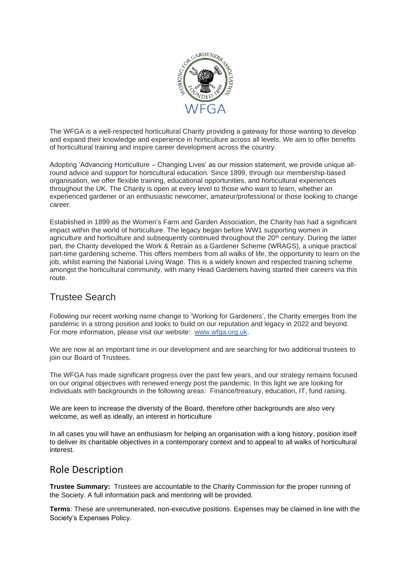

The WFGA is a well-respected horticultural Charity providing a gateway for those wanting to develop and expand their knowledge and experience in horticulture across all levels. We aim to offer benefits of horticultural training and inspire career development across the country.

Adopting 'Advancing Horticulture – Changing Lives' as our mission statement, we provide unique allround advice and support for horticultural education. Since 1899, through our membership-based organisation, we offer flexible training, educational opportunities, and horticultural experiences throughout the UK. The Charity is open at every level to those who want to learn, whether an experienced gardener or an enthusiastic newcomer, amateur/professional or those looking to change career.

Established in 1899 as the Women's Farm and Garden Association, the Charity has had a significant impact within the world of horticulture. The legacy began before WW1 supporting women in agriculture and horticulture and subsequently continued throughout the 20<sup>th</sup> century. During the latter part, the Charity developed the Work & Retrain as a Gardener Scheme (WRAGS), a unique practical part-time gardening scheme. This offers members from all walks of life, the opportunity to learn on the job, whilst earning the National Living Wage. This is a widely known and respected training scheme amongst the horticultural community, with many Head Gardeners having started their careers via this route.

## Trustee Search

Following our recent working name change to 'Working for Gardeners', the Charity emerges from the pandemic in a strong position and looks to build on our reputation and legacy in 2022 and beyond. For more information, please visit our website: [www.wfga.org.uk.](http://www.wfga.org.uk/)

We are now at an important time in our development and are searching for two additional trustees to join our Board of Trustees.

The WFGA has made significant progress over the past few years, and our strategy remains focused on our original objectives with renewed energy post the pandemic. In this light we are looking for individuals with backgrounds in the following areas: Finance/treasury, education, IT, fund raising.

We are keen to increase the diversity of the Board, therefore other backgrounds are also very welcome, as well as ideally, an interest in horticulture

In all cases you will have an enthusiasm for helping an organisation with a long history, position itself to deliver its charitable objectives in a contemporary context and to appeal to all walks of horticultural interest.

## Role Description

**Trustee Summary:** Trustees are accountable to the Charity Commission for the proper running of the Society. A full information pack and mentoring will be provided.

**Terms**: These are unremunerated, non-executive positions. Expenses may be claimed in line with the Society's Expenses Policy.